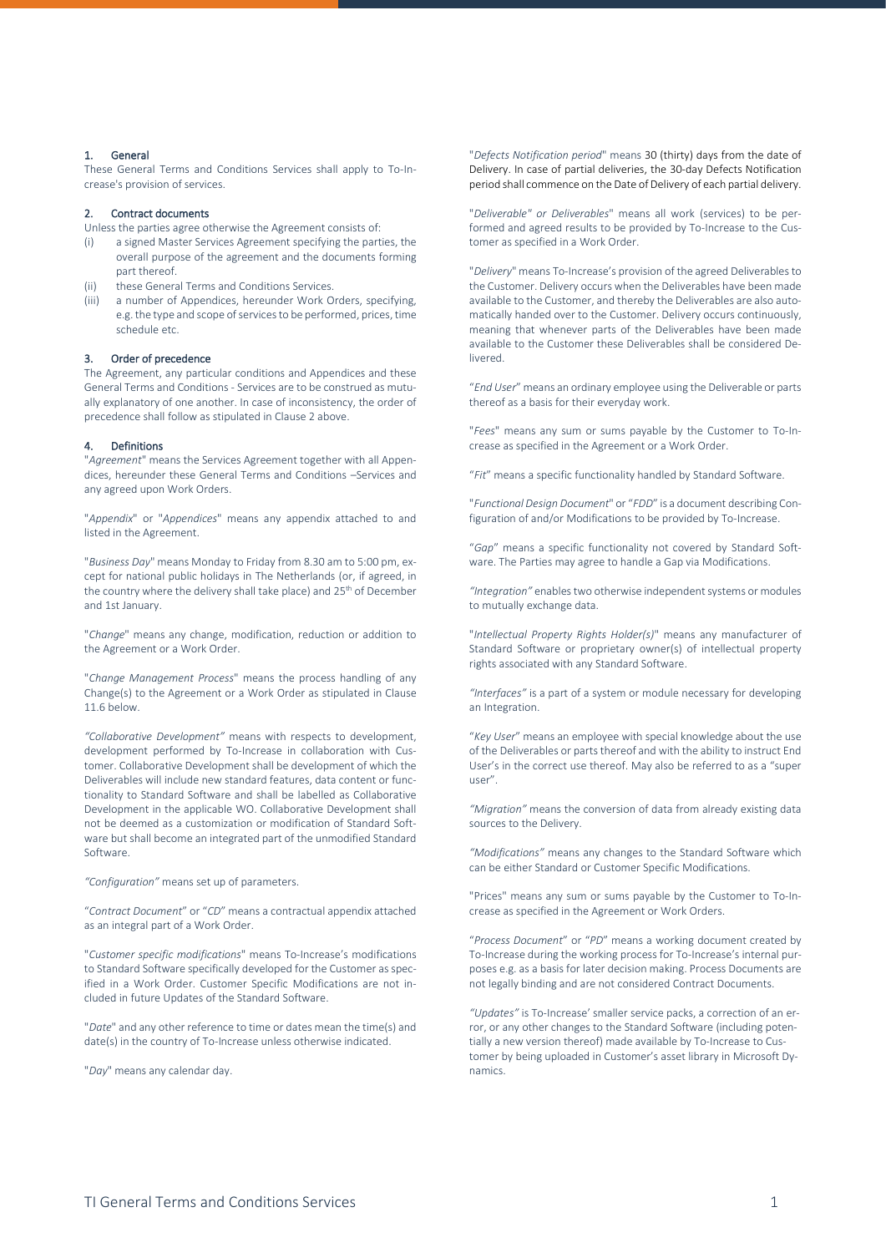# 1. General

These General Terms and Conditions Services shall apply to To-Increase's provision of services.

# <span id="page-0-0"></span>2. Contract documents

Unless the parties agree otherwise the Agreement consists of:

- (i) a signed Master Services Agreement specifying the parties, the overall purpose of the agreement and the documents forming part thereof.
- (ii) these General Terms and Conditions Services.
- (iii) a number of Appendices, hereunder Work Orders, specifying, e.g. the type and scope of services to be performed, prices, time schedule etc.

### 3. Order of precedence

The Agreement, any particular conditions and Appendices and these General Terms and Conditions - Services are to be construed as mutually explanatory of one another. In case of inconsistency, the order of precedence shall follow as stipulated in Claus[e 2](#page-0-0) above.

### 4. Definitions

"*Agreement*" means the Services Agreement together with all Appendices, hereunder these General Terms and Conditions –Services and any agreed upon Work Orders.

"*Appendix*" or "*Appendices*" means any appendix attached to and listed in the Agreement.

"*Business Day*" means Monday to Friday from 8.30 am to 5:00 pm, except for national public holidays in The Netherlands (or, if agreed, in the country where the delivery shall take place) and 25<sup>th</sup> of December and 1st January.

"*Change*" means any change, modification, reduction or addition to the Agreement or a Work Order.

"*Change Management Process*" means the process handling of any Change(s) to the Agreement or a Work Order as stipulated in Clause [11.6](#page-4-0) below.

*"Collaborative Development"* means with respects to development, development performed by To-Increase in collaboration with Customer. Collaborative Development shall be development of which the Deliverables will include new standard features, data content or functionality to Standard Software and shall be labelled as Collaborative Development in the applicable WO. Collaborative Development shall not be deemed as a customization or modification of Standard Software but shall become an integrated part of the unmodified Standard Software.

*"Configuration"* means set up of parameters.

"*Contract Document*" or "*CD*" means a contractual appendix attached as an integral part of a Work Order.

"*Customer specific modifications*" means To-Increase's modifications to Standard Software specifically developed for the Customer as specified in a Work Order. Customer Specific Modifications are not included in future Updates of the Standard Software.

"*Date*" and any other reference to time or dates mean the time(s) and date(s) in the country of To-Increase unless otherwise indicated.

"*Day*" means any calendar day.

"*Defects Notification period*" means 30 (thirty) days from the date of Delivery. In case of partial deliveries, the 30-day Defects Notification period shall commence on the Date of Delivery of each partial delivery.

"*Deliverable" or Deliverables*" means all work (services) to be performed and agreed results to be provided by To-Increase to the Customer as specified in a Work Order.

"*Delivery*" means To-Increase's provision of the agreed Deliverables to the Customer. Delivery occurs when the Deliverables have been made available to the Customer, and thereby the Deliverables are also automatically handed over to the Customer. Delivery occurs continuously, meaning that whenever parts of the Deliverables have been made available to the Customer these Deliverables shall be considered Delivered.

"*End User*" means an ordinary employee using the Deliverable or parts thereof as a basis for their everyday work.

"*Fees*" means any sum or sums payable by the Customer to To-Increase as specified in the Agreement or a Work Order.

"*Fit*" means a specific functionality handled by Standard Software.

"*Functional Design Document*" or "*FDD*" is a document describing Configuration of and/or Modifications to be provided by To-Increase.

"*Gap*" means a specific functionality not covered by Standard Software. The Parties may agree to handle a Gap via Modifications.

*"Integration"* enables two otherwise independent systems or modules to mutually exchange data.

"*Intellectual Property Rights Holder(s)*" means any manufacturer of Standard Software or proprietary owner(s) of intellectual property rights associated with any Standard Software.

*"Interfaces"* is a part of a system or module necessary for developing an Integration.

"*Key User*" means an employee with special knowledge about the use of the Deliverables or parts thereof and with the ability to instruct End User's in the correct use thereof. May also be referred to as a "super user".

*"Migration"* means the conversion of data from already existing data sources to the Delivery.

*"Modifications"* means any changes to the Standard Software which can be either Standard or Customer Specific Modifications.

"Prices" means any sum or sums payable by the Customer to To-Increase as specified in the Agreement or Work Orders.

"*Process Document*" or "*PD*" means a working document created by To-Increase during the working process for To-Increase's internal purposes e.g. as a basis for later decision making. Process Documents are not legally binding and are not considered Contract Documents.

*"Updates"* is To-Increase' smaller service packs, a correction of an error, or any other changes to the Standard Software (including potentially a new version thereof) made available by To-Increase to Customer by being uploaded in Customer's asset library in Microsoft Dynamics.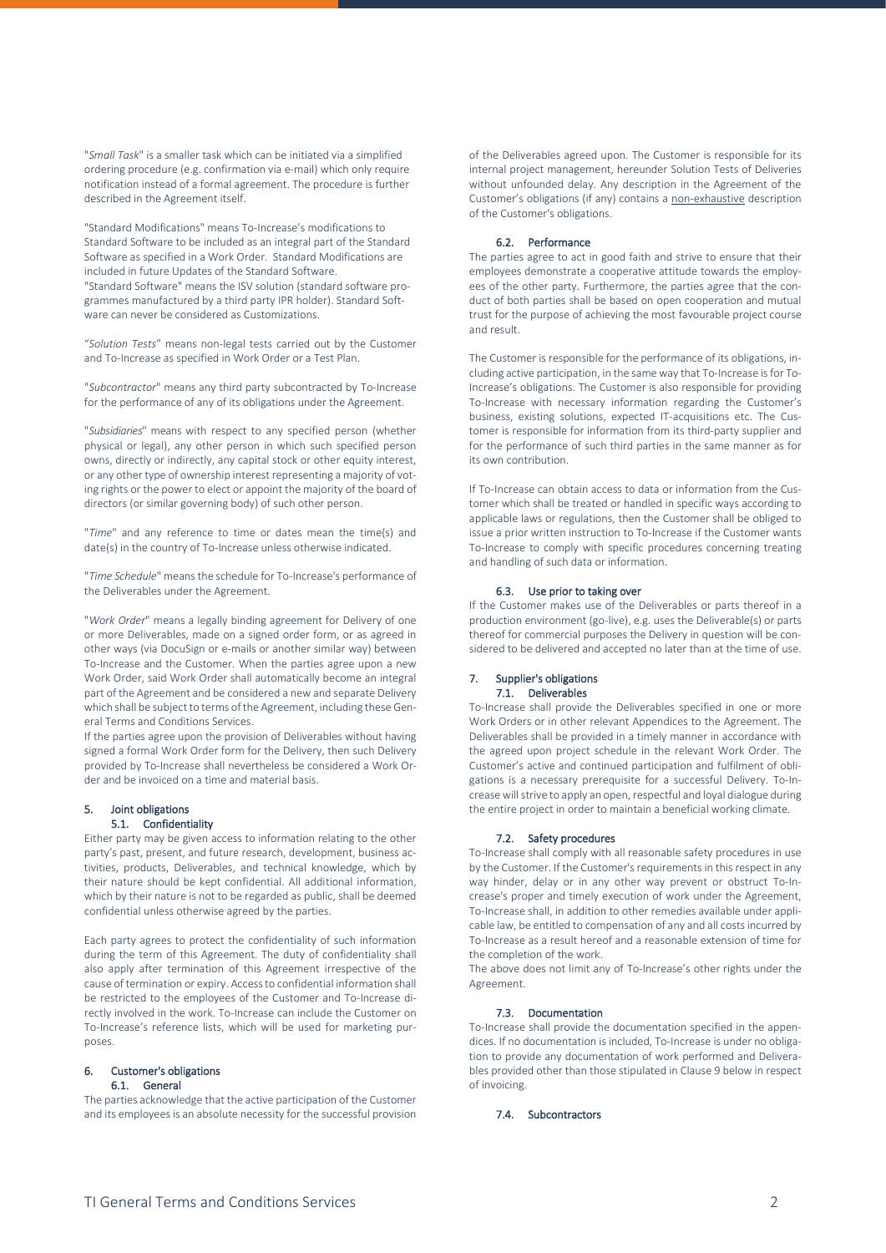"*Small Task*" is a smaller task which can be initiated via a simplified ordering procedure (e.g. confirmation via e-mail) which only require notification instead of a formal agreement. The procedure is further described in the Agreement itself.

"Standard Modifications" means To-Increase's modifications to Standard Software to be included as an integral part of the Standard Software as specified in a Work Order. Standard Modifications are included in future Updates of the Standard Software. "Standard Software" means the ISV solution (standard software programmes manufactured by a third party IPR holder). Standard Software can never be considered as Customizations.

"*Solution Tests*" means non-legal tests carried out by the Customer and To-Increase as specified in Work Order or a Test Plan.

"*Subcontractor*" means any third party subcontracted by To-Increase for the performance of any of its obligations under the Agreement.

"*Subsidiaries*" means with respect to any specified person (whether physical or legal), any other person in which such specified person owns, directly or indirectly, any capital stock or other equity interest, or any other type of ownership interest representing a majority of voting rights or the power to elect or appoint the majority of the board of directors (or similar governing body) of such other person.

"*Time*" and any reference to time or dates mean the time(s) and date(s) in the country of To-Increase unless otherwise indicated.

"*Time Schedule*" means the schedule for To-Increase's performance of the Deliverables under the Agreement.

"*Work Order*" means a legally binding agreement for Delivery of one or more Deliverables, made on a signed order form, or as agreed in other ways (via DocuSign or e-mails or another similar way) between To-Increase and the Customer. When the parties agree upon a new Work Order, said Work Order shall automatically become an integral part of the Agreement and be considered a new and separate Delivery which shall be subject to terms of the Agreement, including these General Terms and Conditions Services.

If the parties agree upon the provision of Deliverables without having signed a formal Work Order form for the Delivery, then such Delivery provided by To-Increase shall nevertheless be considered a Work Order and be invoiced on a time and material basis.

# 5. Joint obligations

# 5.1. Confidentiality

Either party may be given access to information relating to the other party's past, present, and future research, development, business activities, products, Deliverables, and technical knowledge, which by their nature should be kept confidential. All additional information, which by their nature is not to be regarded as public, shall be deemed confidential unless otherwise agreed by the parties.

Each party agrees to protect the confidentiality of such information during the term of this Agreement. The duty of confidentiality shall also apply after termination of this Agreement irrespective of the cause of termination or expiry. Access to confidential information shall be restricted to the employees of the Customer and To-Increase directly involved in the work. To-Increase can include the Customer on To-Increase's reference lists, which will be used for marketing purposes.

### 6. Customer's obligations 6.1. General

The parties acknowledge that the active participation of the Customer and its employees is an absolute necessity for the successful provision

of the Deliverables agreed upon. The Customer is responsible for its internal project management, hereunder Solution Tests of Deliveries without unfounded delay. Any description in the Agreement of the Customer's obligations (if any) contains a non-exhaustive description of the Customer's obligations.

# 6.2. Performance

The parties agree to act in good faith and strive to ensure that their employees demonstrate a cooperative attitude towards the employees of the other party. Furthermore, the parties agree that the conduct of both parties shall be based on open cooperation and mutual trust for the purpose of achieving the most favourable project course and result.

The Customer is responsible for the performance of its obligations, including active participation, in the same way that To-Increase is for To-Increase's obligations. The Customer is also responsible for providing To-Increase with necessary information regarding the Customer's business, existing solutions, expected IT-acquisitions etc. The Customer is responsible for information from its third-party supplier and for the performance of such third parties in the same manner as for its own contribution.

If To-Increase can obtain access to data or information from the Customer which shall be treated or handled in specific ways according to applicable laws or regulations, then the Customer shall be obliged to issue a prior written instruction to To-Increase if the Customer wants To-Increase to comply with specific procedures concerning treating and handling of such data or information.

# 6.3. Use prior to taking over

If the Customer makes use of the Deliverables or parts thereof in a production environment (go-live), e.g. uses the Deliverable(s) or parts thereof for commercial purposes the Delivery in question will be considered to be delivered and accepted no later than at the time of use.

# 7. Supplier's obligations 7.1. Deliverables

To-Increase shall provide the Deliverables specified in one or more Work Orders or in other relevant Appendices to the Agreement. The Deliverables shall be provided in a timely manner in accordance with the agreed upon project schedule in the relevant Work Order. The Customer's active and continued participation and fulfilment of obligations is a necessary prerequisite for a successful Delivery. To-Increase will strive to apply an open, respectful and loyal dialogue during the entire project in order to maintain a beneficial working climate.

# 7.2. Safety procedures

To-Increase shall comply with all reasonable safety procedures in use by the Customer. If the Customer's requirements in this respect in any way hinder, delay or in any other way prevent or obstruct To-Increase's proper and timely execution of work under the Agreement, To-Increase shall, in addition to other remedies available under applicable law, be entitled to compensation of any and all costs incurred by To-Increase as a result hereof and a reasonable extension of time for the completion of the work.

The above does not limit any of To-Increase's other rights under the Agreement.

# 7.3. Documentation

To-Increase shall provide the documentation specified in the appendices. If no documentation is included, To-Increase is under no obligation to provide any documentation of work performed and Deliverables provided other than those stipulated in Claus[e 9](#page-2-0) below in respect of invoicing.

# 7.4. Subcontractors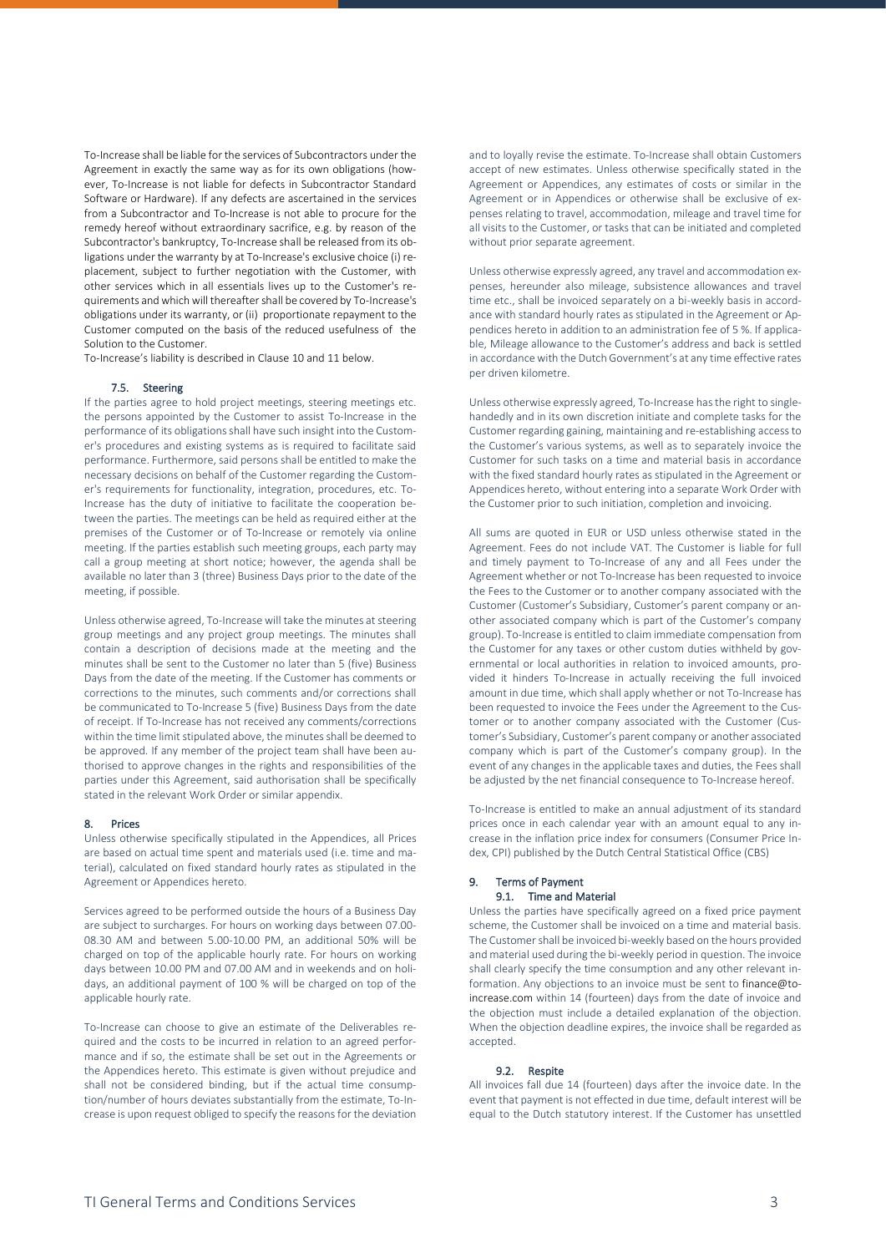To-Increase shall be liable for the services of Subcontractors under the Agreement in exactly the same way as for its own obligations (however, To-Increase is not liable for defects in Subcontractor Standard Software or Hardware). If any defects are ascertained in the services from a Subcontractor and To-Increase is not able to procure for the remedy hereof without extraordinary sacrifice, e.g. by reason of the Subcontractor's bankruptcy, To-Increase shall be released from its obligations under the warranty by at To-Increase's exclusive choice (i) replacement, subject to further negotiation with the Customer, with other services which in all essentials lives up to the Customer's requirements and which will thereafter shall be covered by To-Increase's obligations under its warranty, or (ii) proportionate repayment to the Customer computed on the basis of the reduced usefulness of the Solution to the Customer.

To-Increase's liability is described in Clause [10](#page-3-0) an[d 11](#page-3-1) below.

### 7.5. Steering

If the parties agree to hold project meetings, steering meetings etc. the persons appointed by the Customer to assist To-Increase in the performance of its obligations shall have such insight into the Customer's procedures and existing systems as is required to facilitate said performance. Furthermore, said persons shall be entitled to make the necessary decisions on behalf of the Customer regarding the Customer's requirements for functionality, integration, procedures, etc. To-Increase has the duty of initiative to facilitate the cooperation between the parties. The meetings can be held as required either at the premises of the Customer or of To-Increase or remotely via online meeting. If the parties establish such meeting groups, each party may call a group meeting at short notice; however, the agenda shall be available no later than 3 (three) Business Days prior to the date of the meeting, if possible.

Unless otherwise agreed, To-Increase will take the minutes at steering group meetings and any project group meetings. The minutes shall contain a description of decisions made at the meeting and the minutes shall be sent to the Customer no later than 5 (five) Business Days from the date of the meeting. If the Customer has comments or corrections to the minutes, such comments and/or corrections shall be communicated to To-Increase 5 (five) Business Days from the date of receipt. If To-Increase has not received any comments/corrections within the time limit stipulated above, the minutes shall be deemed to be approved. If any member of the project team shall have been authorised to approve changes in the rights and responsibilities of the parties under this Agreement, said authorisation shall be specifically stated in the relevant Work Order or similar appendix.

# 8. Prices

Unless otherwise specifically stipulated in the Appendices, all Prices are based on actual time spent and materials used (i.e. time and material), calculated on fixed standard hourly rates as stipulated in the Agreement or Appendices hereto.

Services agreed to be performed outside the hours of a Business Day are subject to surcharges. For hours on working days between 07.00- 08.30 AM and between 5.00-10.00 PM, an additional 50% will be charged on top of the applicable hourly rate. For hours on working days between 10.00 PM and 07.00 AM and in weekends and on holidays, an additional payment of 100 % will be charged on top of the applicable hourly rate.

To-Increase can choose to give an estimate of the Deliverables required and the costs to be incurred in relation to an agreed performance and if so, the estimate shall be set out in the Agreements or the Appendices hereto. This estimate is given without prejudice and shall not be considered binding, but if the actual time consumption/number of hours deviates substantially from the estimate, To-Increase is upon request obliged to specify the reasons for the deviation

and to loyally revise the estimate. To-Increase shall obtain Customers accept of new estimates. Unless otherwise specifically stated in the Agreement or Appendices, any estimates of costs or similar in the Agreement or in Appendices or otherwise shall be exclusive of expenses relating to travel, accommodation, mileage and travel time for all visits to the Customer, or tasks that can be initiated and completed without prior separate agreement.

Unless otherwise expressly agreed, any travel and accommodation expenses, hereunder also mileage, subsistence allowances and travel time etc., shall be invoiced separately on a bi-weekly basis in accordance with standard hourly rates as stipulated in the Agreement or Appendices hereto in addition to an administration fee of 5 %. If applicable, Mileage allowance to the Customer's address and back is settled in accordance with the Dutch Government's at any time effective rates per driven kilometre.

Unless otherwise expressly agreed, To-Increase has the right to singlehandedly and in its own discretion initiate and complete tasks for the Customer regarding gaining, maintaining and re-establishing access to the Customer's various systems, as well as to separately invoice the Customer for such tasks on a time and material basis in accordance with the fixed standard hourly rates as stipulated in the Agreement or Appendices hereto, without entering into a separate Work Order with the Customer prior to such initiation, completion and invoicing.

All sums are quoted in EUR or USD unless otherwise stated in the Agreement. Fees do not include VAT. The Customer is liable for full and timely payment to To-Increase of any and all Fees under the Agreement whether or not To-Increase has been requested to invoice the Fees to the Customer or to another company associated with the Customer (Customer's Subsidiary, Customer's parent company or another associated company which is part of the Customer's company group). To-Increase is entitled to claim immediate compensation from the Customer for any taxes or other custom duties withheld by governmental or local authorities in relation to invoiced amounts, provided it hinders To-Increase in actually receiving the full invoiced amount in due time, which shall apply whether or not To-Increase has been requested to invoice the Fees under the Agreement to the Customer or to another company associated with the Customer (Customer's Subsidiary, Customer's parent company or another associated company which is part of the Customer's company group). In the event of any changes in the applicable taxes and duties, the Fees shall be adjusted by the net financial consequence to To-Increase hereof.

To-Increase is entitled to make an annual adjustment of its standard prices once in each calendar year with an amount equal to any increase in the inflation price index for consumers (Consumer Price Index, CPI) published by the Dutch Central Statistical Office (CBS)

### <span id="page-2-0"></span>9. Terms of Payment 9.1. Time and Material

Unless the parties have specifically agreed on a fixed price payment scheme, the Customer shall be invoiced on a time and material basis. The Customer shall be invoiced bi-weekly based on the hours provided and material used during the bi-weekly period in question. The invoice shall clearly specify the time consumption and any other relevant information. Any objections to an invoice must be sent t[o finance@to](mailto:finance@to-increase.com)[increase.com](mailto:finance@to-increase.com) within 14 (fourteen) days from the date of invoice and the objection must include a detailed explanation of the objection. When the objection deadline expires, the invoice shall be regarded as accepted.

### 9.2. Respite

All invoices fall due 14 (fourteen) days after the invoice date. In the event that payment is not effected in due time, default interest will be equal to the Dutch statutory interest. If the Customer has unsettled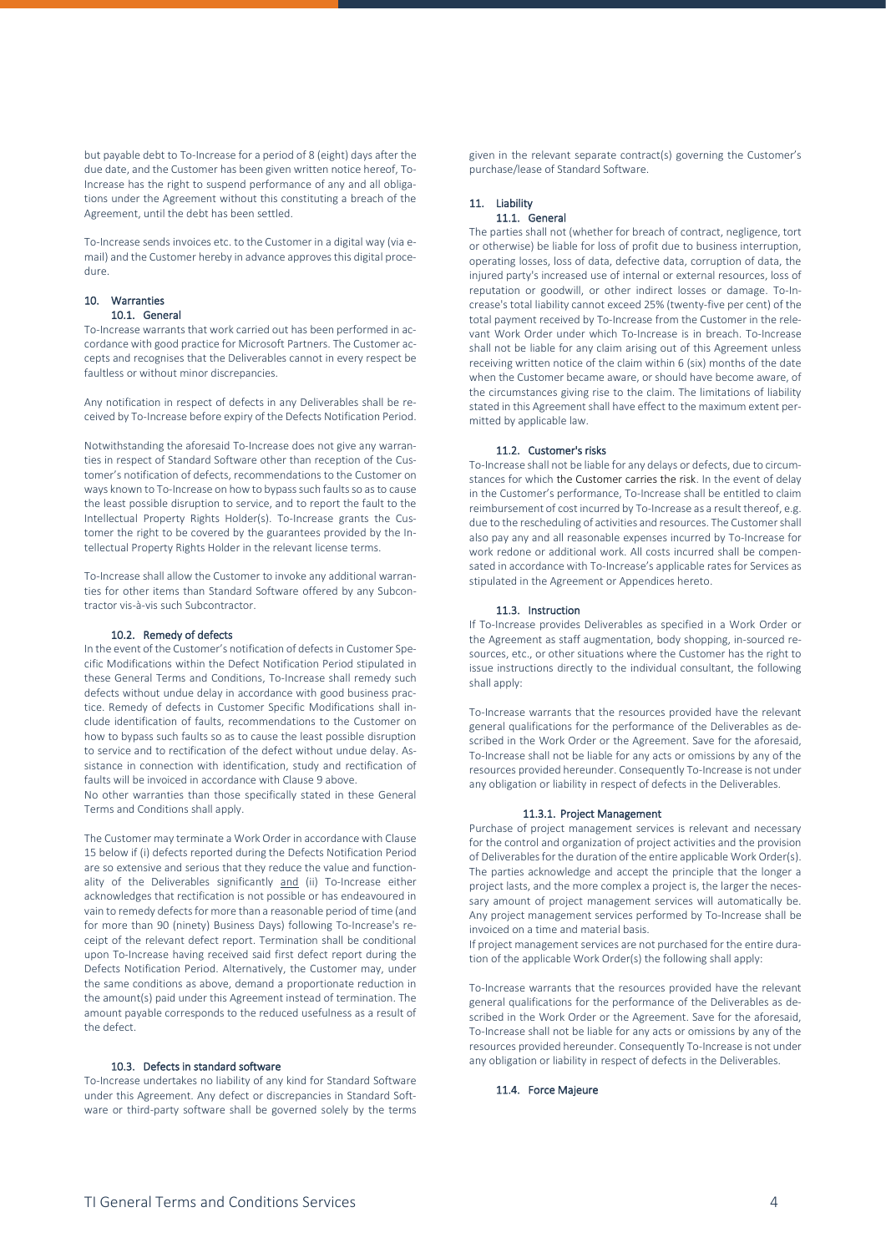but payable debt to To-Increase for a period of 8 (eight) days after the due date, and the Customer has been given written notice hereof, To-Increase has the right to suspend performance of any and all obligations under the Agreement without this constituting a breach of the Agreement, until the debt has been settled.

To-Increase sends invoices etc. to the Customer in a digital way (via email) and the Customer hereby in advance approves this digital procedure.

### <span id="page-3-0"></span>10. Warranties 10.1. General

To-Increase warrants that work carried out has been performed in accordance with good practice for Microsoft Partners. The Customer accepts and recognises that the Deliverables cannot in every respect be faultless or without minor discrepancies.

Any notification in respect of defects in any Deliverables shall be received by To-Increase before expiry of the Defects Notification Period.

Notwithstanding the aforesaid To-Increase does not give any warranties in respect of Standard Software other than reception of the Customer's notification of defects, recommendations to the Customer on ways known to To-Increase on how to bypass such faults so as to cause the least possible disruption to service, and to report the fault to the Intellectual Property Rights Holder(s). To-Increase grants the Customer the right to be covered by the guarantees provided by the Intellectual Property Rights Holder in the relevant license terms.

To-Increase shall allow the Customer to invoke any additional warranties for other items than Standard Software offered by any Subcontractor vis-à-vis such Subcontractor.

# 10.2. Remedy of defects

In the event of the Customer's notification of defects in Customer Specific Modifications within the Defect Notification Period stipulated in these General Terms and Conditions, To-Increase shall remedy such defects without undue delay in accordance with good business practice. Remedy of defects in Customer Specific Modifications shall include identification of faults, recommendations to the Customer on how to bypass such faults so as to cause the least possible disruption to service and to rectification of the defect without undue delay. Assistance in connection with identification, study and rectification of faults will be invoiced in accordance with Claus[e 9](#page-2-0) above.

No other warranties than those specifically stated in these General Terms and Conditions shall apply.

The Customer may terminate a Work Order in accordance with Clause [15](#page-4-1) below if (i) defects reported during the Defects Notification Period are so extensive and serious that they reduce the value and functionality of the Deliverables significantly and (ii) To-Increase either acknowledges that rectification is not possible or has endeavoured in vain to remedy defects for more than a reasonable period of time (and for more than 90 (ninety) Business Days) following To-Increase's receipt of the relevant defect report. Termination shall be conditional upon To-Increase having received said first defect report during the Defects Notification Period. Alternatively, the Customer may, under the same conditions as above, demand a proportionate reduction in the amount(s) paid under this Agreement instead of termination. The amount payable corresponds to the reduced usefulness as a result of the defect.

# 10.3. Defects in standard software

To-Increase undertakes no liability of any kind for Standard Software under this Agreement. Any defect or discrepancies in Standard Software or third-party software shall be governed solely by the terms given in the relevant separate contract(s) governing the Customer's purchase/lease of Standard Software.

### <span id="page-3-1"></span>11. Liability 11.1. General

The parties shall not (whether for breach of contract, negligence, tort or otherwise) be liable for loss of profit due to business interruption, operating losses, loss of data, defective data, corruption of data, the injured party's increased use of internal or external resources, loss of reputation or goodwill, or other indirect losses or damage. To-Increase's total liability cannot exceed 25% (twenty-five per cent) of the total payment received by To-Increase from the Customer in the relevant Work Order under which To-Increase is in breach. To-Increase shall not be liable for any claim arising out of this Agreement unless receiving written notice of the claim within 6 (six) months of the date when the Customer became aware, or should have become aware, of the circumstances giving rise to the claim. The limitations of liability stated in this Agreement shall have effect to the maximum extent permitted by applicable law.

### 11.2. Customer's risks

To-Increase shall not be liable for any delays or defects, due to circumstances for which the Customer carries the risk. In the event of delay in the Customer's performance, To-Increase shall be entitled to claim reimbursement of cost incurred by To-Increase as a result thereof, e.g. due to the rescheduling of activities and resources. The Customer shall also pay any and all reasonable expenses incurred by To-Increase for work redone or additional work. All costs incurred shall be compensated in accordance with To-Increase's applicable rates for Services as stipulated in the Agreement or Appendices hereto.

### 11.3. Instruction

If To-Increase provides Deliverables as specified in a Work Order or the Agreement as staff augmentation, body shopping, in-sourced resources, etc., or other situations where the Customer has the right to issue instructions directly to the individual consultant, the following shall apply:

To-Increase warrants that the resources provided have the relevant general qualifications for the performance of the Deliverables as described in the Work Order or the Agreement. Save for the aforesaid, To-Increase shall not be liable for any acts or omissions by any of the resources provided hereunder. Consequently To-Increase is not under any obligation or liability in respect of defects in the Deliverables.

### 11.3.1. Project Management

Purchase of project management services is relevant and necessary for the control and organization of project activities and the provision of Deliverables for the duration of the entire applicable Work Order(s). The parties acknowledge and accept the principle that the longer a project lasts, and the more complex a project is, the larger the necessary amount of project management services will automatically be. Any project management services performed by To-Increase shall be invoiced on a time and material basis.

If project management services are not purchased for the entire duration of the applicable Work Order(s) the following shall apply:

To-Increase warrants that the resources provided have the relevant general qualifications for the performance of the Deliverables as described in the Work Order or the Agreement. Save for the aforesaid, To-Increase shall not be liable for any acts or omissions by any of the resources provided hereunder. Consequently To-Increase is not under any obligation or liability in respect of defects in the Deliverables.

11.4. Force Majeure